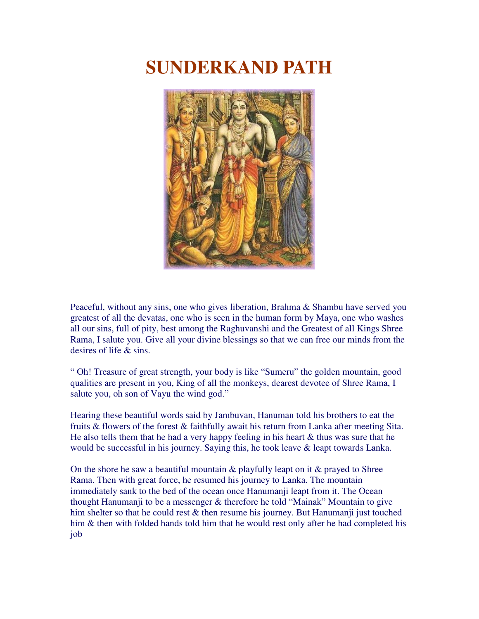## **SUNDERKAND PATH**



Peaceful, without any sins, one who gives liberation, Brahma & Shambu have served you greatest of all the devatas, one who is seen in the human form by Maya, one who washes all our sins, full of pity, best among the Raghuvanshi and the Greatest of all Kings Shree Rama, I salute you. Give all your divine blessings so that we can free our minds from the desires of life & sins.

" Oh! Treasure of great strength, your body is like "Sumeru" the golden mountain, good qualities are present in you, King of all the monkeys, dearest devotee of Shree Rama, I salute you, oh son of Vayu the wind god."

Hearing these beautiful words said by Jambuvan, Hanuman told his brothers to eat the fruits & flowers of the forest & faithfully await his return from Lanka after meeting Sita. He also tells them that he had a very happy feeling in his heart  $\&$  thus was sure that he would be successful in his journey. Saying this, he took leave & leapt towards Lanka.

On the shore he saw a beautiful mountain  $\&$  playfully leapt on it  $\&$  prayed to Shree Rama. Then with great force, he resumed his journey to Lanka. The mountain immediately sank to the bed of the ocean once Hanumanji leapt from it. The Ocean thought Hanumanji to be a messenger & therefore he told "Mainak" Mountain to give him shelter so that he could rest & then resume his journey. But Hanumanji just touched him & then with folded hands told him that he would rest only after he had completed his job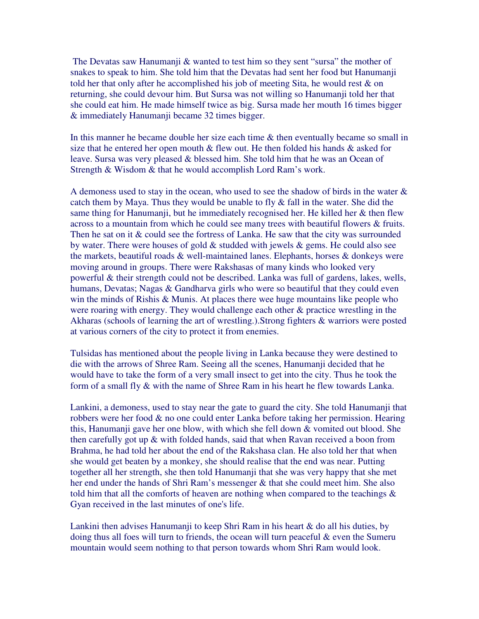The Devatas saw Hanumanji & wanted to test him so they sent "sursa" the mother of snakes to speak to him. She told him that the Devatas had sent her food but Hanumanji told her that only after he accomplished his job of meeting Sita, he would rest & on returning, she could devour him. But Sursa was not willing so Hanumanji told her that she could eat him. He made himself twice as big. Sursa made her mouth 16 times bigger & immediately Hanumanji became 32 times bigger.

In this manner he became double her size each time  $\&$  then eventually became so small in size that he entered her open mouth  $\&$  flew out. He then folded his hands  $\&$  asked for leave. Sursa was very pleased & blessed him. She told him that he was an Ocean of Strength & Wisdom & that he would accomplish Lord Ram's work.

A demoness used to stay in the ocean, who used to see the shadow of birds in the water  $\&$ catch them by Maya. Thus they would be unable to fly  $\&$  fall in the water. She did the same thing for Hanumanji, but he immediately recognised her. He killed her & then flew across to a mountain from which he could see many trees with beautiful flowers & fruits. Then he sat on it & could see the fortress of Lanka. He saw that the city was surrounded by water. There were houses of gold  $&$  studded with jewels  $&$  gems. He could also see the markets, beautiful roads  $\&$  well-maintained lanes. Elephants, horses  $\&$  donkeys were moving around in groups. There were Rakshasas of many kinds who looked very powerful & their strength could not be described. Lanka was full of gardens, lakes, wells, humans, Devatas; Nagas & Gandharva girls who were so beautiful that they could even win the minds of Rishis & Munis. At places there wee huge mountains like people who were roaring with energy. They would challenge each other & practice wrestling in the Akharas (schools of learning the art of wrestling.).Strong fighters & warriors were posted at various corners of the city to protect it from enemies.

Tulsidas has mentioned about the people living in Lanka because they were destined to die with the arrows of Shree Ram. Seeing all the scenes, Hanumanji decided that he would have to take the form of a very small insect to get into the city. Thus he took the form of a small fly & with the name of Shree Ram in his heart he flew towards Lanka.

Lankini, a demoness, used to stay near the gate to guard the city. She told Hanumanji that robbers were her food & no one could enter Lanka before taking her permission. Hearing this, Hanumanji gave her one blow, with which she fell down & vomited out blood. She then carefully got up & with folded hands, said that when Ravan received a boon from Brahma, he had told her about the end of the Rakshasa clan. He also told her that when she would get beaten by a monkey, she should realise that the end was near. Putting together all her strength, she then told Hanumanji that she was very happy that she met her end under the hands of Shri Ram's messenger & that she could meet him. She also told him that all the comforts of heaven are nothing when compared to the teachings  $\&$ Gyan received in the last minutes of one's life.

Lankini then advises Hanumanji to keep Shri Ram in his heart  $\&$  do all his duties, by doing thus all foes will turn to friends, the ocean will turn peaceful & even the Sumeru mountain would seem nothing to that person towards whom Shri Ram would look.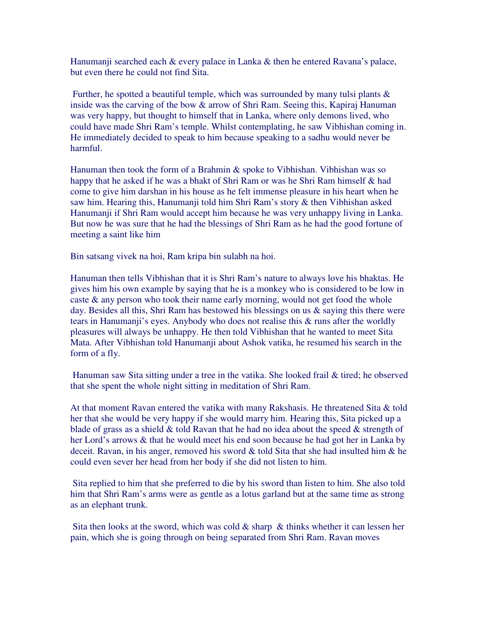Hanumanji searched each  $\&$  every palace in Lanka  $\&$  then he entered Ravana's palace, but even there he could not find Sita.

Further, he spotted a beautiful temple, which was surrounded by many tulsi plants & inside was the carving of the bow & arrow of Shri Ram. Seeing this, Kapiraj Hanuman was very happy, but thought to himself that in Lanka, where only demons lived, who could have made Shri Ram's temple. Whilst contemplating, he saw Vibhishan coming in. He immediately decided to speak to him because speaking to a sadhu would never be harmful.

Hanuman then took the form of a Brahmin & spoke to Vibhishan. Vibhishan was so happy that he asked if he was a bhakt of Shri Ram or was he Shri Ram himself & had come to give him darshan in his house as he felt immense pleasure in his heart when he saw him. Hearing this, Hanumanji told him Shri Ram's story & then Vibhishan asked Hanumanji if Shri Ram would accept him because he was very unhappy living in Lanka. But now he was sure that he had the blessings of Shri Ram as he had the good fortune of meeting a saint like him

Bin satsang vivek na hoi, Ram kripa bin sulabh na hoi.

Hanuman then tells Vibhishan that it is Shri Ram's nature to always love his bhaktas. He gives him his own example by saying that he is a monkey who is considered to be low in caste & any person who took their name early morning, would not get food the whole day. Besides all this, Shri Ram has bestowed his blessings on us & saying this there were tears in Hanumanji's eyes. Anybody who does not realise this & runs after the worldly pleasures will always be unhappy. He then told Vibhishan that he wanted to meet Sita Mata. After Vibhishan told Hanumanji about Ashok vatika, he resumed his search in the form of a fly.

Hanuman saw Sita sitting under a tree in the vatika. She looked frail & tired; he observed that she spent the whole night sitting in meditation of Shri Ram.

At that moment Ravan entered the vatika with many Rakshasis. He threatened Sita & told her that she would be very happy if she would marry him. Hearing this, Sita picked up a blade of grass as a shield  $&$  told Ravan that he had no idea about the speed  $&$  strength of her Lord's arrows & that he would meet his end soon because he had got her in Lanka by deceit. Ravan, in his anger, removed his sword & told Sita that she had insulted him & he could even sever her head from her body if she did not listen to him.

Sita replied to him that she preferred to die by his sword than listen to him. She also told him that Shri Ram's arms were as gentle as a lotus garland but at the same time as strong as an elephant trunk.

Sita then looks at the sword, which was cold  $\&$  sharp  $\&$  thinks whether it can lessen her pain, which she is going through on being separated from Shri Ram. Ravan moves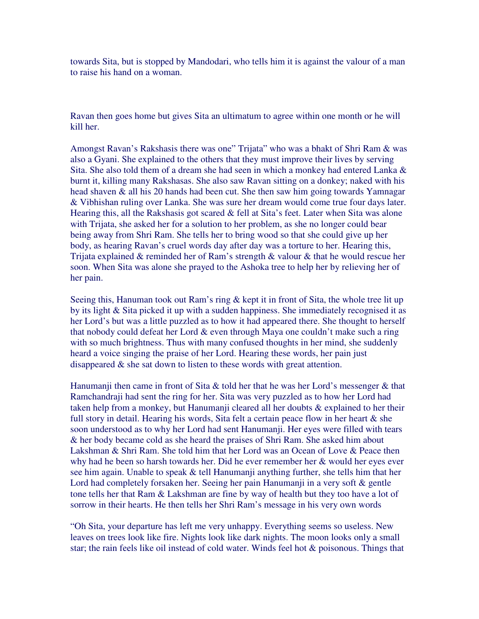towards Sita, but is stopped by Mandodari, who tells him it is against the valour of a man to raise his hand on a woman.

Ravan then goes home but gives Sita an ultimatum to agree within one month or he will kill her.

Amongst Ravan's Rakshasis there was one" Trijata" who was a bhakt of Shri Ram & was also a Gyani. She explained to the others that they must improve their lives by serving Sita. She also told them of a dream she had seen in which a monkey had entered Lanka & burnt it, killing many Rakshasas. She also saw Ravan sitting on a donkey; naked with his head shaven & all his 20 hands had been cut. She then saw him going towards Yamnagar & Vibhishan ruling over Lanka. She was sure her dream would come true four days later. Hearing this, all the Rakshasis got scared  $\&$  fell at Sita's feet. Later when Sita was alone with Trijata, she asked her for a solution to her problem, as she no longer could bear being away from Shri Ram. She tells her to bring wood so that she could give up her body, as hearing Ravan's cruel words day after day was a torture to her. Hearing this, Trijata explained & reminded her of Ram's strength & valour & that he would rescue her soon. When Sita was alone she prayed to the Ashoka tree to help her by relieving her of her pain.

Seeing this, Hanuman took out Ram's ring & kept it in front of Sita, the whole tree lit up by its light & Sita picked it up with a sudden happiness. She immediately recognised it as her Lord's but was a little puzzled as to how it had appeared there. She thought to herself that nobody could defeat her Lord & even through Maya one couldn't make such a ring with so much brightness. Thus with many confused thoughts in her mind, she suddenly heard a voice singing the praise of her Lord. Hearing these words, her pain just disappeared & she sat down to listen to these words with great attention.

Hanumanji then came in front of Sita & told her that he was her Lord's messenger & that Ramchandraji had sent the ring for her. Sita was very puzzled as to how her Lord had taken help from a monkey, but Hanumanji cleared all her doubts & explained to her their full story in detail. Hearing his words, Sita felt a certain peace flow in her heart  $\&$  she soon understood as to why her Lord had sent Hanumanji. Her eyes were filled with tears & her body became cold as she heard the praises of Shri Ram. She asked him about Lakshman & Shri Ram. She told him that her Lord was an Ocean of Love & Peace then why had he been so harsh towards her. Did he ever remember her & would her eyes ever see him again. Unable to speak & tell Hanumanji anything further, she tells him that her Lord had completely forsaken her. Seeing her pain Hanumanji in a very soft & gentle tone tells her that Ram & Lakshman are fine by way of health but they too have a lot of sorrow in their hearts. He then tells her Shri Ram's message in his very own words

"Oh Sita, your departure has left me very unhappy. Everything seems so useless. New leaves on trees look like fire. Nights look like dark nights. The moon looks only a small star; the rain feels like oil instead of cold water. Winds feel hot & poisonous. Things that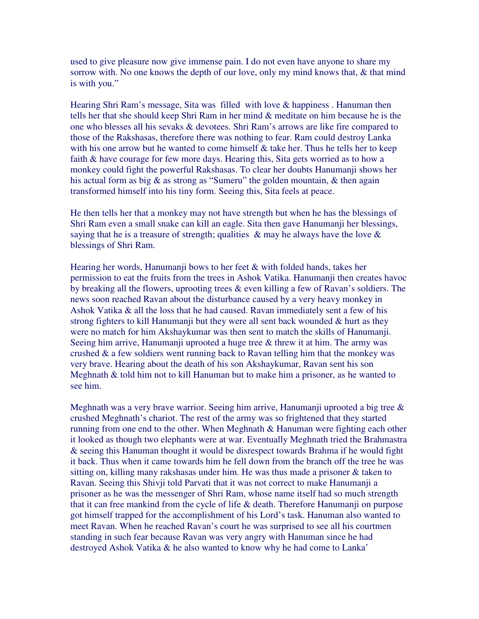used to give pleasure now give immense pain. I do not even have anyone to share my sorrow with. No one knows the depth of our love, only my mind knows that, & that mind is with you."

Hearing Shri Ram's message, Sita was filled with love & happiness . Hanuman then tells her that she should keep Shri Ram in her mind & meditate on him because he is the one who blesses all his sevaks & devotees. Shri Ram's arrows are like fire compared to those of the Rakshasas, therefore there was nothing to fear. Ram could destroy Lanka with his one arrow but he wanted to come himself  $\&$  take her. Thus he tells her to keep faith & have courage for few more days. Hearing this, Sita gets worried as to how a monkey could fight the powerful Rakshasas. To clear her doubts Hanumanji shows her his actual form as big  $\&$  as strong as "Sumeru" the golden mountain,  $\&$  then again transformed himself into his tiny form. Seeing this, Sita feels at peace.

He then tells her that a monkey may not have strength but when he has the blessings of Shri Ram even a small snake can kill an eagle. Sita then gave Hanumanji her blessings, saying that he is a treasure of strength; qualities  $\&$  may he always have the love  $\&$ blessings of Shri Ram.

Hearing her words, Hanumanji bows to her feet & with folded hands, takes her permission to eat the fruits from the trees in Ashok Vatika. Hanumanji then creates havoc by breaking all the flowers, uprooting trees & even killing a few of Ravan's soldiers. The news soon reached Ravan about the disturbance caused by a very heavy monkey in Ashok Vatika & all the loss that he had caused. Ravan immediately sent a few of his strong fighters to kill Hanumanji but they were all sent back wounded  $\&$  hurt as they were no match for him Akshaykumar was then sent to match the skills of Hanumanji. Seeing him arrive, Hanumanji uprooted a huge tree & threw it at him. The army was crushed & a few soldiers went running back to Ravan telling him that the monkey was very brave. Hearing about the death of his son Akshaykumar, Ravan sent his son Meghnath & told him not to kill Hanuman but to make him a prisoner, as he wanted to see him.

Meghnath was a very brave warrior. Seeing him arrive, Hanumanji uprooted a big tree & crushed Meghnath's chariot. The rest of the army was so frightened that they started running from one end to the other. When Meghnath & Hanuman were fighting each other it looked as though two elephants were at war. Eventually Meghnath tried the Brahmastra & seeing this Hanuman thought it would be disrespect towards Brahma if he would fight it back. Thus when it came towards him he fell down from the branch off the tree he was sitting on, killing many rakshasas under him. He was thus made a prisoner  $\&$  taken to Ravan. Seeing this Shivji told Parvati that it was not correct to make Hanumanji a prisoner as he was the messenger of Shri Ram, whose name itself had so much strength that it can free mankind from the cycle of life & death. Therefore Hanumanji on purpose got himself trapped for the accomplishment of his Lord's task. Hanuman also wanted to meet Ravan. When he reached Ravan's court he was surprised to see all his courtmen standing in such fear because Ravan was very angry with Hanuman since he had destroyed Ashok Vatika & he also wanted to know why he had come to Lanka'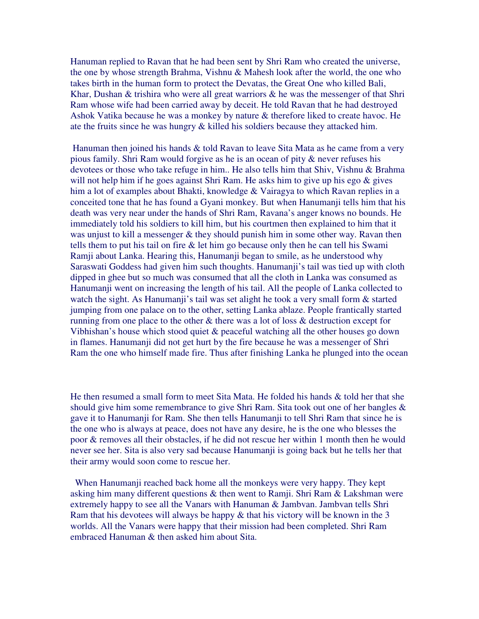Hanuman replied to Ravan that he had been sent by Shri Ram who created the universe, the one by whose strength Brahma, Vishnu & Mahesh look after the world, the one who takes birth in the human form to protect the Devatas, the Great One who killed Bali, Khar, Dushan & trishira who were all great warriors & he was the messenger of that Shri Ram whose wife had been carried away by deceit. He told Ravan that he had destroyed Ashok Vatika because he was a monkey by nature & therefore liked to create havoc. He ate the fruits since he was hungry & killed his soldiers because they attacked him.

Hanuman then joined his hands & told Ravan to leave Sita Mata as he came from a very pious family. Shri Ram would forgive as he is an ocean of pity & never refuses his devotees or those who take refuge in him.. He also tells him that Shiv, Vishnu & Brahma will not help him if he goes against Shri Ram. He asks him to give up his ego & gives him a lot of examples about Bhakti, knowledge & Vairagya to which Ravan replies in a conceited tone that he has found a Gyani monkey. But when Hanumanji tells him that his death was very near under the hands of Shri Ram, Ravana's anger knows no bounds. He immediately told his soldiers to kill him, but his courtmen then explained to him that it was unjust to kill a messenger & they should punish him in some other way. Ravan then tells them to put his tail on fire  $\&$  let him go because only then he can tell his Swami Ramji about Lanka. Hearing this, Hanumanji began to smile, as he understood why Saraswati Goddess had given him such thoughts. Hanumanji's tail was tied up with cloth dipped in ghee but so much was consumed that all the cloth in Lanka was consumed as Hanumanji went on increasing the length of his tail. All the people of Lanka collected to watch the sight. As Hanumanji's tail was set alight he took a very small form & started jumping from one palace on to the other, setting Lanka ablaze. People frantically started running from one place to the other & there was a lot of loss & destruction except for Vibhishan's house which stood quiet & peaceful watching all the other houses go down in flames. Hanumanji did not get hurt by the fire because he was a messenger of Shri Ram the one who himself made fire. Thus after finishing Lanka he plunged into the ocean

He then resumed a small form to meet Sita Mata. He folded his hands & told her that she should give him some remembrance to give Shri Ram. Sita took out one of her bangles  $\&$ gave it to Hanumanji for Ram. She then tells Hanumanji to tell Shri Ram that since he is the one who is always at peace, does not have any desire, he is the one who blesses the poor & removes all their obstacles, if he did not rescue her within 1 month then he would never see her. Sita is also very sad because Hanumanji is going back but he tells her that their army would soon come to rescue her.

When Hanumanji reached back home all the monkeys were very happy. They kept asking him many different questions & then went to Ramji. Shri Ram & Lakshman were extremely happy to see all the Vanars with Hanuman & Jambvan. Jambvan tells Shri Ram that his devotees will always be happy & that his victory will be known in the 3 worlds. All the Vanars were happy that their mission had been completed. Shri Ram embraced Hanuman & then asked him about Sita.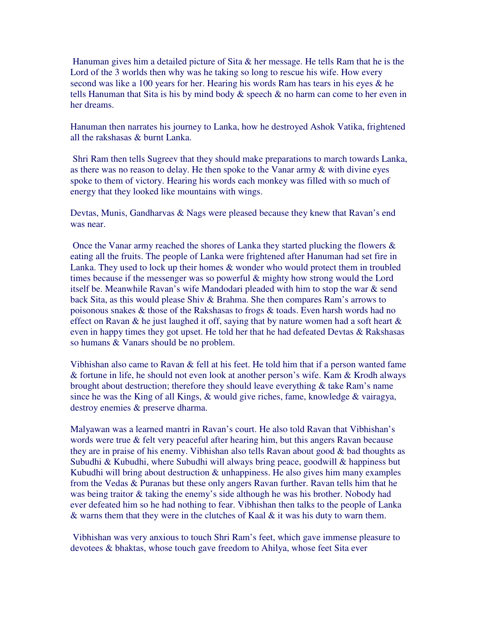Hanuman gives him a detailed picture of Sita & her message. He tells Ram that he is the Lord of the 3 worlds then why was he taking so long to rescue his wife. How every second was like a 100 years for her. Hearing his words Ram has tears in his eyes & he tells Hanuman that Sita is his by mind body & speech & no harm can come to her even in her dreams.

Hanuman then narrates his journey to Lanka, how he destroyed Ashok Vatika, frightened all the rakshasas & burnt Lanka.

Shri Ram then tells Sugreev that they should make preparations to march towards Lanka, as there was no reason to delay. He then spoke to the Vanar army & with divine eyes spoke to them of victory. Hearing his words each monkey was filled with so much of energy that they looked like mountains with wings.

Devtas, Munis, Gandharvas & Nags were pleased because they knew that Ravan's end was near.

Once the Vanar army reached the shores of Lanka they started plucking the flowers & eating all the fruits. The people of Lanka were frightened after Hanuman had set fire in Lanka. They used to lock up their homes & wonder who would protect them in troubled times because if the messenger was so powerful & mighty how strong would the Lord itself be. Meanwhile Ravan's wife Mandodari pleaded with him to stop the war & send back Sita, as this would please Shiv & Brahma. She then compares Ram's arrows to poisonous snakes & those of the Rakshasas to frogs & toads. Even harsh words had no effect on Ravan & he just laughed it off, saying that by nature women had a soft heart  $\&$ even in happy times they got upset. He told her that he had defeated Devtas & Rakshasas so humans & Vanars should be no problem.

Vibhishan also came to Ravan & fell at his feet. He told him that if a person wanted fame & fortune in life, he should not even look at another person's wife. Kam & Krodh always brought about destruction; therefore they should leave everything & take Ram's name since he was the King of all Kings, & would give riches, fame, knowledge & vairagya, destroy enemies & preserve dharma.

Malyawan was a learned mantri in Ravan's court. He also told Ravan that Vibhishan's words were true & felt very peaceful after hearing him, but this angers Ravan because they are in praise of his enemy. Vibhishan also tells Ravan about good & bad thoughts as Subudhi & Kubudhi, where Subudhi will always bring peace, goodwill & happiness but Kubudhi will bring about destruction  $&$  unhappiness. He also gives him many examples from the Vedas & Puranas but these only angers Ravan further. Ravan tells him that he was being traitor & taking the enemy's side although he was his brother. Nobody had ever defeated him so he had nothing to fear. Vibhishan then talks to the people of Lanka & warns them that they were in the clutches of Kaal & it was his duty to warn them.

Vibhishan was very anxious to touch Shri Ram's feet, which gave immense pleasure to devotees & bhaktas, whose touch gave freedom to Ahilya, whose feet Sita ever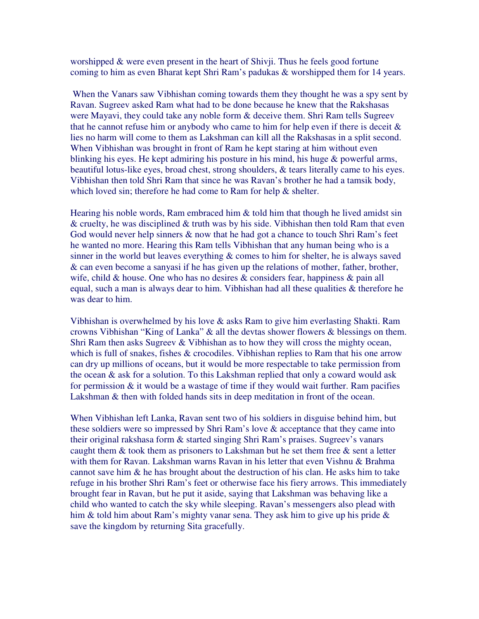worshipped & were even present in the heart of Shivji. Thus he feels good fortune coming to him as even Bharat kept Shri Ram's padukas & worshipped them for 14 years.

When the Vanars saw Vibhishan coming towards them they thought he was a spy sent by Ravan. Sugreev asked Ram what had to be done because he knew that the Rakshasas were Mayavi, they could take any noble form & deceive them. Shri Ram tells Sugreev that he cannot refuse him or anybody who came to him for help even if there is deceit  $\&$ lies no harm will come to them as Lakshman can kill all the Rakshasas in a split second. When Vibhishan was brought in front of Ram he kept staring at him without even blinking his eyes. He kept admiring his posture in his mind, his huge & powerful arms, beautiful lotus-like eyes, broad chest, strong shoulders, & tears literally came to his eyes. Vibhishan then told Shri Ram that since he was Ravan's brother he had a tamsik body, which loved sin; therefore he had come to Ram for help & shelter.

Hearing his noble words, Ram embraced him  $\&$  told him that though he lived amidst sin  $\&$  cruelty, he was disciplined  $\&$  truth was by his side. Vibhishan then told Ram that even God would never help sinners  $\&$  now that he had got a chance to touch Shri Ram's feet he wanted no more. Hearing this Ram tells Vibhishan that any human being who is a sinner in the world but leaves everything & comes to him for shelter, he is always saved & can even become a sanyasi if he has given up the relations of mother, father, brother, wife, child & house. One who has no desires & considers fear, happiness & pain all equal, such a man is always dear to him. Vibhishan had all these qualities & therefore he was dear to him.

Vibhishan is overwhelmed by his love & asks Ram to give him everlasting Shakti. Ram crowns Vibhishan "King of Lanka" & all the devtas shower flowers & blessings on them. Shri Ram then asks Sugreev & Vibhishan as to how they will cross the mighty ocean, which is full of snakes, fishes & crocodiles. Vibhishan replies to Ram that his one arrow can dry up millions of oceans, but it would be more respectable to take permission from the ocean & ask for a solution. To this Lakshman replied that only a coward would ask for permission  $\&$  it would be a wastage of time if they would wait further. Ram pacifies Lakshman & then with folded hands sits in deep meditation in front of the ocean.

When Vibhishan left Lanka, Ravan sent two of his soldiers in disguise behind him, but these soldiers were so impressed by Shri Ram's love & acceptance that they came into their original rakshasa form & started singing Shri Ram's praises. Sugreev's vanars caught them  $\&$  took them as prisoners to Lakshman but he set them free  $\&$  sent a letter with them for Ravan. Lakshman warns Ravan in his letter that even Vishnu & Brahma cannot save him  $\&$  he has brought about the destruction of his clan. He asks him to take refuge in his brother Shri Ram's feet or otherwise face his fiery arrows. This immediately brought fear in Ravan, but he put it aside, saying that Lakshman was behaving like a child who wanted to catch the sky while sleeping. Ravan's messengers also plead with him  $\&$  told him about Ram's mighty vanar sena. They ask him to give up his pride  $\&$ save the kingdom by returning Sita gracefully.